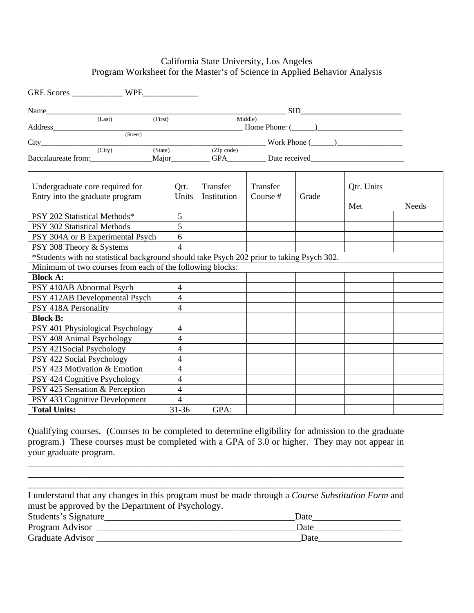#### California State University, Los Angeles Program Worksheet for the Master's of Science in Applied Behavior Analysis

| Name                                                                                      |         |         |                |                         |                      |       | $\sim$ SID $\sim$ |       |
|-------------------------------------------------------------------------------------------|---------|---------|----------------|-------------------------|----------------------|-------|-------------------|-------|
|                                                                                           | (Last)  | (First) |                |                         | Middle)              |       |                   |       |
|                                                                                           |         |         |                |                         |                      |       |                   |       |
|                                                                                           | (Stree) |         |                |                         |                      |       |                   |       |
| City City (City) (State) (Zip code) Work Phone (2000)                                     |         |         |                |                         |                      |       |                   |       |
|                                                                                           |         |         |                |                         |                      |       |                   |       |
| Undergraduate core required for<br>Entry into the graduate program                        |         |         | Qrt.<br>Units  | Transfer<br>Institution | Transfer<br>Course # | Grade | Qtr. Units        |       |
|                                                                                           |         |         |                |                         |                      |       | Met               | Needs |
| PSY 202 Statistical Methods*                                                              |         |         | 5              |                         |                      |       |                   |       |
| PSY 302 Statistical Methods                                                               |         |         | 5              |                         |                      |       |                   |       |
| PSY 304A or B Experimental Psych                                                          |         |         | 6              |                         |                      |       |                   |       |
| PSY 308 Theory & Systems                                                                  |         |         | $\overline{4}$ |                         |                      |       |                   |       |
| *Students with no statistical background should take Psych 202 prior to taking Psych 302. |         |         |                |                         |                      |       |                   |       |
| Minimum of two courses from each of the following blocks:                                 |         |         |                |                         |                      |       |                   |       |
| <b>Block A:</b>                                                                           |         |         |                |                         |                      |       |                   |       |
| PSY 410AB Abnormal Psych                                                                  |         |         | 4              |                         |                      |       |                   |       |
| PSY 412AB Developmental Psych                                                             |         |         | $\overline{4}$ |                         |                      |       |                   |       |
| PSY 418A Personality                                                                      |         |         | 4              |                         |                      |       |                   |       |
| <b>Block B:</b>                                                                           |         |         |                |                         |                      |       |                   |       |
| PSY 401 Physiological Psychology                                                          |         |         | 4              |                         |                      |       |                   |       |
| PSY 408 Animal Psychology                                                                 |         |         | 4              |                         |                      |       |                   |       |
| PSY 421Social Psychology                                                                  |         |         | 4              |                         |                      |       |                   |       |
| PSY 422 Social Psychology                                                                 |         |         | $\overline{4}$ |                         |                      |       |                   |       |
| PSY 423 Motivation & Emotion                                                              |         |         | $\overline{4}$ |                         |                      |       |                   |       |
| PSY 424 Cognitive Psychology                                                              |         |         | 4              |                         |                      |       |                   |       |
| PSY 425 Sensation & Perception                                                            |         |         | $\overline{4}$ |                         |                      |       |                   |       |
| PSY 433 Cognitive Development                                                             |         |         | $\overline{4}$ |                         |                      |       |                   |       |
| <b>Total Units:</b>                                                                       |         |         | $31 - 36$      | GPA:                    |                      |       |                   |       |

Qualifying courses. (Courses to be completed to determine eligibility for admission to the graduate program.) These courses must be completed with a GPA of 3.0 or higher. They may not appear in your graduate program.

\_\_\_\_\_\_\_\_\_\_\_\_\_\_\_\_\_\_\_\_\_\_\_\_\_\_\_\_\_\_\_\_\_\_\_\_\_\_\_\_\_\_\_\_\_\_\_\_\_\_\_\_\_\_\_\_\_\_\_\_\_\_\_\_\_\_\_\_\_\_\_\_\_\_\_\_\_\_\_\_\_ \_\_\_\_\_\_\_\_\_\_\_\_\_\_\_\_\_\_\_\_\_\_\_\_\_\_\_\_\_\_\_\_\_\_\_\_\_\_\_\_\_\_\_\_\_\_\_\_\_\_\_\_\_\_\_\_\_\_\_\_\_\_\_\_\_\_\_\_\_\_\_\_\_\_\_\_\_\_\_\_\_

|                                                   | I understand that any changes in this program must be made through a Course Substitution Form and |
|---------------------------------------------------|---------------------------------------------------------------------------------------------------|
| must be approved by the Department of Psychology. |                                                                                                   |
| Students's Signature                              | Date                                                                                              |
| Program Advisor _                                 | Date                                                                                              |
| Graduate Advisor                                  | Date                                                                                              |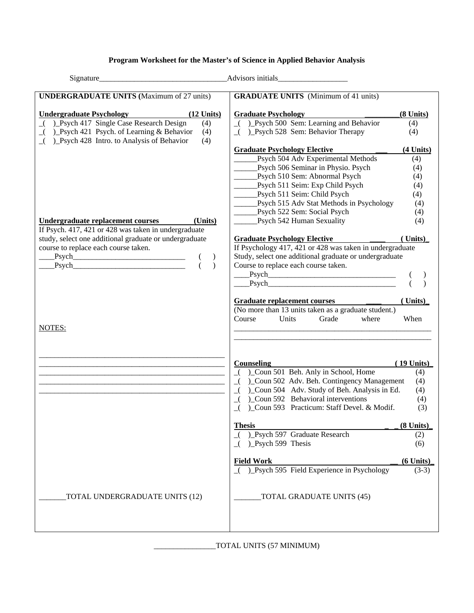#### **Program Worksheet for the Master's of Science in Applied Behavior Analysis**

| Signature                                                                                                                                                     | Advisors initials                                                                               |               |
|---------------------------------------------------------------------------------------------------------------------------------------------------------------|-------------------------------------------------------------------------------------------------|---------------|
| <b>UNDERGRADUATE UNITS (Maximum of 27 units)</b>                                                                                                              | <b>GRADUATE UNITS</b> (Minimum of 41 units)                                                     |               |
| <b>Undergraduate Psychology</b><br>$(12$ Units)                                                                                                               | <b>Graduate Psychology</b>                                                                      | $(8$ Units)   |
| ( )_Psych 417 Single Case Research Design<br>(4)                                                                                                              | $($ ) Psych 500 Sem: Learning and Behavior                                                      | (4)           |
| ) Psych 421 Psych. of Learning & Behavior<br>(4)<br>$\overline{\phantom{a}}$<br>)_Psych 428 Intro. to Analysis of Behavior<br>(4)<br>$\overline{\phantom{a}}$ | ( ) Psych 528 Sem: Behavior Therapy                                                             | (4)           |
|                                                                                                                                                               | <b>Graduate Psychology Elective</b>                                                             | $(4$ Units)   |
|                                                                                                                                                               | Psych 504 Adv Experimental Methods                                                              | (4)           |
|                                                                                                                                                               | Psych 506 Seminar in Physio. Psych                                                              | (4)           |
|                                                                                                                                                               | Psych 510 Sem: Abnormal Psych                                                                   | (4)           |
|                                                                                                                                                               | Psych 511 Seim: Exp Child Psych                                                                 | (4)           |
|                                                                                                                                                               | Psych 511 Seim: Child Psych                                                                     | (4)           |
|                                                                                                                                                               | ___Psych 515 Adv Stat Methods in Psychology                                                     | (4)           |
|                                                                                                                                                               | Psych 522 Sem: Social Psych                                                                     | (4)           |
| Undergraduate replacement courses<br>(Units)                                                                                                                  | Psych 542 Human Sexuality                                                                       | (4)           |
| If Psych. 417, 421 or 428 was taken in undergraduate                                                                                                          |                                                                                                 |               |
| study, select one additional graduate or undergraduate<br>course to replace each course taken.                                                                | <b>Graduate Psychology Elective</b><br>If Psychology 417, 421 or 428 was taken in undergraduate | (Units)       |
| $\frac{1}{2}$ Psych                                                                                                                                           | Study, select one additional graduate or undergraduate                                          |               |
| $\qquad Psych$                                                                                                                                                | Course to replace each course taken.                                                            |               |
|                                                                                                                                                               |                                                                                                 |               |
|                                                                                                                                                               | Psych<br>Psych<br>Psych                                                                         |               |
|                                                                                                                                                               |                                                                                                 |               |
|                                                                                                                                                               | Graduate replacement courses                                                                    | $($ Units $)$ |
|                                                                                                                                                               | (No more than 13 units taken as a graduate student.)<br>Units<br>Grade<br>Course<br>where       | When          |
| NOTES:                                                                                                                                                        |                                                                                                 |               |
|                                                                                                                                                               |                                                                                                 |               |
|                                                                                                                                                               |                                                                                                 |               |
|                                                                                                                                                               | <b>Counseling</b>                                                                               | $(19$ Units)  |
|                                                                                                                                                               | ( )_Coun 501 Beh. Anly in School, Home                                                          | (4)           |
|                                                                                                                                                               | )_Coun 502 Adv. Beh. Contingency Management<br>$\overline{\phantom{a}}$                         | (4)           |
|                                                                                                                                                               | )_Coun 504 Adv. Study of Beh. Analysis in Ed.<br>$\overline{\mathcal{A}}$                       | (4)           |
|                                                                                                                                                               | Coun 592 Behavioral interventions<br>$\overline{\phantom{a}}$                                   | (4)           |
|                                                                                                                                                               | )_Coun 593 Practicum: Staff Devel. & Modif.<br>$\lrcorner$                                      | (3)           |
|                                                                                                                                                               | <b>Thesis</b>                                                                                   | $(8$ Units)   |
|                                                                                                                                                               | ( ) Psych 597 Graduate Research                                                                 | (2)           |
|                                                                                                                                                               | $( )$ Psych 599 Thesis                                                                          | (6)           |
|                                                                                                                                                               | <b>Field Work</b>                                                                               | $(6$ Units)   |
|                                                                                                                                                               | $\overline{$ ( ) Psych 595 Field Experience in Psychology                                       | $(3-3)$       |
| TOTAL UNDERGRADUATE UNITS (12)                                                                                                                                | TOTAL GRADUATE UNITS (45)                                                                       |               |
|                                                                                                                                                               |                                                                                                 |               |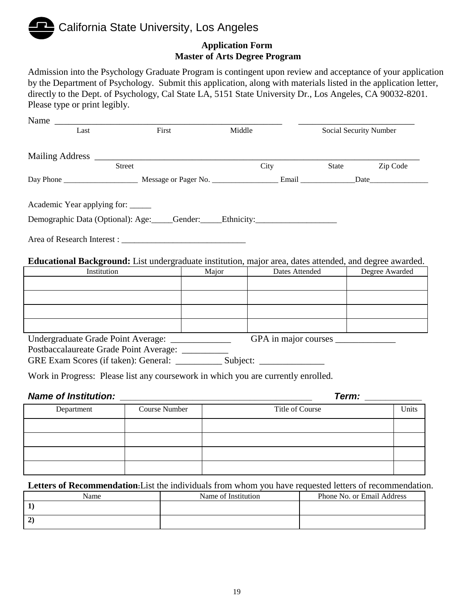# California State University, Los Angeles **Application Form**

# **Master of Arts Degree Program**

Admission into the Psychology Graduate Program is contingent upon review and acceptance of your application by the Department of Psychology. Submit this application, along with materials listed in the application letter, directly to the Dept. of Psychology, Cal State LA, 5151 State University Dr., Los Angeles, CA 90032-8201. Please type or print legibly.

| Name $\equiv$<br>Last       | First         | Middle                      | Social Security Number |          |
|-----------------------------|---------------|-----------------------------|------------------------|----------|
|                             |               |                             |                        |          |
|                             | <b>Street</b> | City                        | State                  | Zip Code |
|                             |               |                             |                        |          |
| Academic Year applying for: |               | Area of Research Interest : |                        |          |

**Educational Background:** List undergraduate institution, major area, dates attended, and degree awarded.

| Institution                        | Major | Dates Attended       | Degree Awarded |
|------------------------------------|-------|----------------------|----------------|
|                                    |       |                      |                |
|                                    |       |                      |                |
|                                    |       |                      |                |
|                                    |       |                      |                |
| Undergraduate Grade Point Average: |       | GPA in major courses |                |

Postbaccalaureate Grade Point Average: \_\_\_\_\_\_\_\_\_\_

GRE Exam Scores (if taken): General: \_\_\_\_\_\_\_\_\_\_\_\_\_ Subject: \_\_\_\_\_\_\_\_\_\_\_\_\_\_\_\_\_\_\_\_

Work in Progress: Please list any coursework in which you are currently enrolled.

#### *Name of Institution:*  $\blacksquare$

| Department | <b>Course Number</b> | Title of Course | Units |
|------------|----------------------|-----------------|-------|
|            |                      |                 |       |
|            |                      |                 |       |
|            |                      |                 |       |
|            |                      |                 |       |

**Letters of Recommendation:**List the individuals from whom you have requested letters of recommendation.

| Name   | Name of Institution | Phone No. or Email Address |
|--------|---------------------|----------------------------|
|        |                     |                            |
| $\sim$ |                     |                            |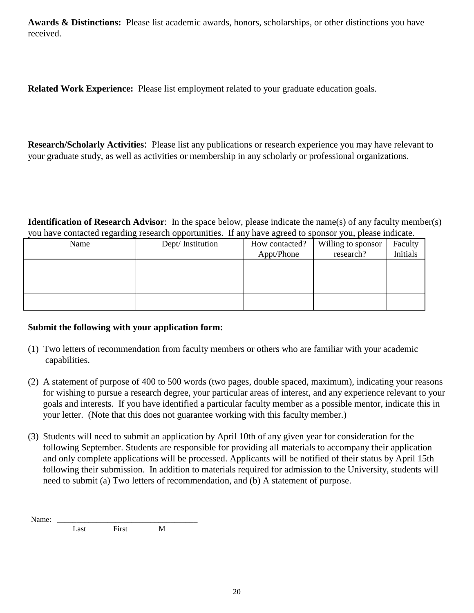**Awards & Distinctions:** Please list academic awards, honors, scholarships, or other distinctions you have received.

**Related Work Experience:** Please list employment related to your graduate education goals.

**Research/Scholarly Activities**: Please list any publications or research experience you may have relevant to your graduate study, as well as activities or membership in any scholarly or professional organizations.

**Identification of Research Advisor**: In the space below, please indicate the name(s) of any faculty member(s) you have contacted regarding research opportunities. If any have agreed to sponsor you, please indicate.

| -    | . .              |                |                    |          |
|------|------------------|----------------|--------------------|----------|
| Name | Dept/Institution | How contacted? | Willing to sponsor | Faculty  |
|      |                  | Appt/Phone     | research?          | Initials |
|      |                  |                |                    |          |
|      |                  |                |                    |          |
|      |                  |                |                    |          |
|      |                  |                |                    |          |
|      |                  |                |                    |          |
|      |                  |                |                    |          |

#### **Submit the following with your application form:**

- (1) Two letters of recommendation from faculty members or others who are familiar with your academic capabilities.
- (2) A statement of purpose of 400 to 500 words (two pages, double spaced, maximum), indicating your reasons for wishing to pursue a research degree, your particular areas of interest, and any experience relevant to your goals and interests. If you have identified a particular faculty member as a possible mentor, indicate this in your letter. (Note that this does not guarantee working with this faculty member.)
- (3) Students will need to submit an application by April 10th of any given year for consideration for the following September. Students are responsible for providing all materials to accompany their application and only complete applications will be processed. Applicants will be notified of their status by April 15th following their submission. In addition to materials required for admission to the University, students will need to submit (a) Two letters of recommendation, and (b) A statement of purpose.

Name: \_\_\_\_\_\_\_\_\_\_\_\_\_\_\_\_\_\_\_\_\_\_\_\_\_\_\_\_\_\_\_\_\_\_\_\_ Last First M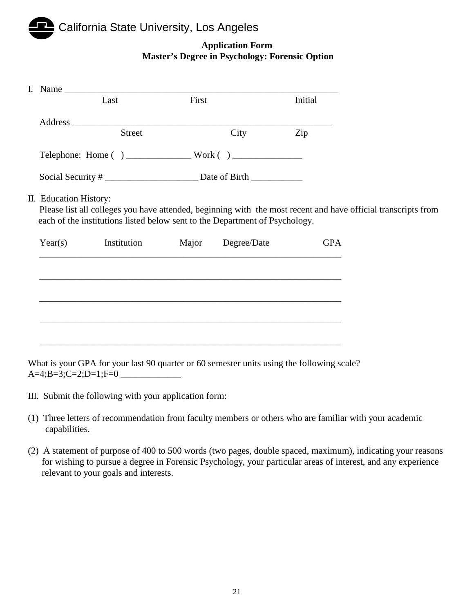## California State University, Los Angeles

#### **Application Form Master's Degree in Psychology: Forensic Option**

|                        | I. Name                               |       |                                                                                   |            |                                                                                                               |
|------------------------|---------------------------------------|-------|-----------------------------------------------------------------------------------|------------|---------------------------------------------------------------------------------------------------------------|
|                        | Last                                  | First |                                                                                   | Initial    |                                                                                                               |
|                        |                                       |       |                                                                                   |            |                                                                                                               |
|                        | Street                                |       | City                                                                              | Zip        |                                                                                                               |
|                        |                                       |       |                                                                                   |            |                                                                                                               |
|                        |                                       |       | Social Security #                                                                 |            |                                                                                                               |
| II. Education History: |                                       |       | each of the institutions listed below sent to the Department of Psychology.       |            | Please list all colleges you have attended, beginning with the most recent and have official transcripts from |
|                        | Year(s) Institution Major Degree/Date |       |                                                                                   | <b>GPA</b> |                                                                                                               |
|                        |                                       |       |                                                                                   |            |                                                                                                               |
|                        |                                       |       | ,我们也不能在这里的时候,我们也不能在这里的时候,我们也不能会在这里的时候,我们也不能会在这里的时候,我们也不能会在这里的时候,我们也不能会在这里的时候,我们也不 |            |                                                                                                               |
|                        |                                       |       |                                                                                   |            |                                                                                                               |
|                        |                                       |       |                                                                                   |            |                                                                                                               |
|                        |                                       |       |                                                                                   |            |                                                                                                               |

What is your GPA for your last 90 quarter or 60 semester units using the following scale?  $A=4; B=3; C=2; D=1; F=0$ 

- III. Submit the following with your application form:
- (1) Three letters of recommendation from faculty members or others who are familiar with your academic capabilities.
- (2) A statement of purpose of 400 to 500 words (two pages, double spaced, maximum), indicating your reasons for wishing to pursue a degree in Forensic Psychology, your particular areas of interest, and any experience relevant to your goals and interests.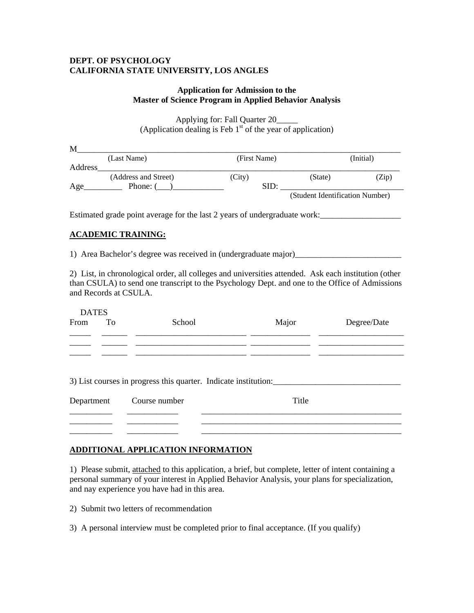#### **DEPT. OF PSYCHOLOGY CALIFORNIA STATE UNIVERSITY, LOS ANGLES**

#### **Application for Admission to the Master of Science Program in Applied Behavior Analysis**

Applying for: Fall Quarter 20\_\_\_\_\_ (Application dealing is Feb  $1<sup>st</sup>$  of the year of application)

| M       |                      |              |                                 |           |
|---------|----------------------|--------------|---------------------------------|-----------|
|         | (Last Name)          | (First Name) |                                 | (Initial) |
| Address |                      |              |                                 |           |
|         | (Address and Street) | (City)       | (State)                         | (Zip)     |
| Age     | Phone: (             | SID:         |                                 |           |
|         |                      |              | (Student Identification Number) |           |

Estimated grade point average for the last 2 years of undergraduate work:\_\_\_\_\_\_\_\_\_\_\_\_\_\_

#### **ACADEMIC TRAINING:**

1) Area Bachelor's degree was received in (undergraduate major)\_\_\_\_\_\_\_\_\_\_\_\_\_\_\_\_\_\_\_\_\_\_\_\_\_

2) List, in chronological order, all colleges and universities attended. Ask each institution (other than CSULA) to send one transcript to the Psychology Dept. and one to the Office of Admissions and Records at CSULA.

| <b>DATES</b><br>To<br>From | School                                                          | Major | Degree/Date |
|----------------------------|-----------------------------------------------------------------|-------|-------------|
|                            |                                                                 |       |             |
|                            |                                                                 |       |             |
|                            |                                                                 |       |             |
|                            | 3) List courses in progress this quarter. Indicate institution: |       |             |
| Department                 | Course number                                                   | Title |             |
|                            |                                                                 |       |             |
|                            |                                                                 |       |             |

#### **ADDITIONAL APPLICATION INFORMATION**

1) Please submit, attached to this application, a brief, but complete, letter of intent containing a personal summary of your interest in Applied Behavior Analysis, your plans for specialization, and nay experience you have had in this area.

2) Submit two letters of recommendation

3) A personal interview must be completed prior to final acceptance. (If you qualify)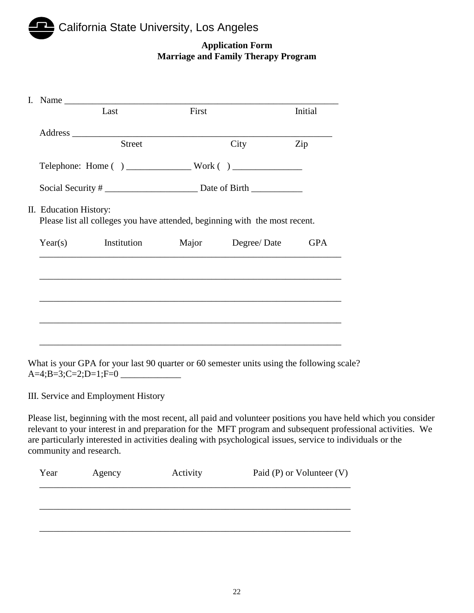### California State University, Los Angeles

#### **Application Form Marriage and Family Therapy Program**

|                        |                                                                                   | First |                   |            |
|------------------------|-----------------------------------------------------------------------------------|-------|-------------------|------------|
|                        | Last                                                                              |       |                   | Initial    |
|                        |                                                                                   |       |                   |            |
|                        | <b>Street</b>                                                                     |       | City              | Zip        |
|                        |                                                                                   |       |                   |            |
|                        |                                                                                   |       |                   |            |
| II. Education History: | Please list all colleges you have attended, beginning with the most recent.       |       |                   |            |
| Year(s)                | Institution                                                                       |       | Major Degree/Date | <b>GPA</b> |
|                        |                                                                                   |       |                   |            |
|                        |                                                                                   |       |                   |            |
|                        |                                                                                   |       |                   |            |
|                        | ,我们也不能会有什么。""我们的人,我们也不能会有什么?""我们的人,我们也不能会有什么?""我们的人,我们也不能会有什么?""我们的人,我们也不能会有什么?"" |       |                   |            |
|                        |                                                                                   |       |                   |            |

What is your GPA for your last 90 quarter or 60 semester units using the following scale?  $A=4; B=3; C=2; D=1; F=0$ 

III. Service and Employment History

Please list, beginning with the most recent, all paid and volunteer positions you have held which you consider relevant to your interest in and preparation for the MFT program and subsequent professional activities. We are particularly interested in activities dealing with psychological issues, service to individuals or the community and research.

| Year | Agency | Activity | Paid (P) or Volunteer $(V)$ |
|------|--------|----------|-----------------------------|
|      |        |          |                             |
|      |        |          |                             |
|      |        |          |                             |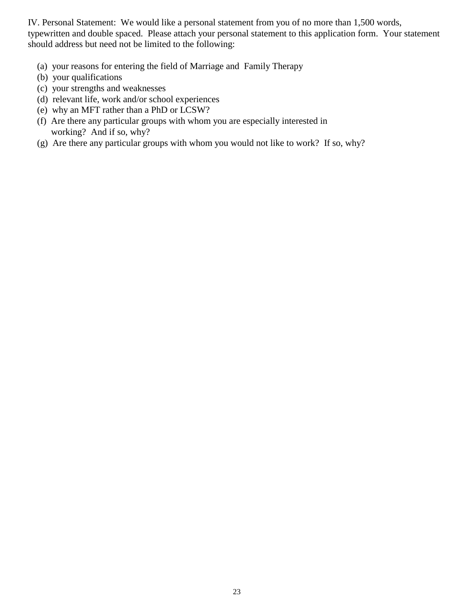IV. Personal Statement: We would like a personal statement from you of no more than 1,500 words, typewritten and double spaced. Please attach your personal statement to this application form. Your statement should address but need not be limited to the following:

- (a) your reasons for entering the field of Marriage and Family Therapy
- (b) your qualifications
- (c) your strengths and weaknesses
- (d) relevant life, work and/or school experiences
- (e) why an MFT rather than a PhD or LCSW?
- (f) Are there any particular groups with whom you are especially interested in working? And if so, why?
- (g) Are there any particular groups with whom you would not like to work? If so, why?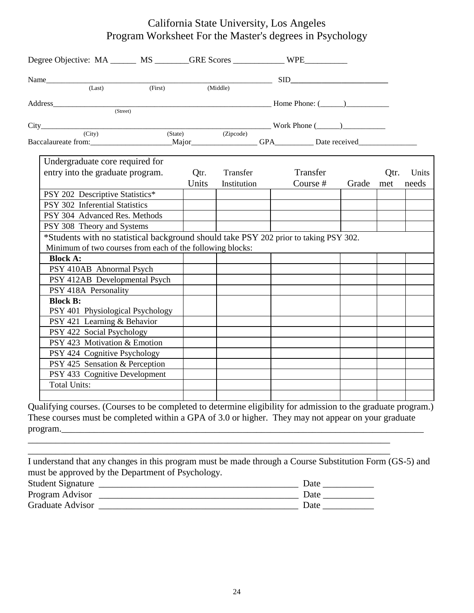#### California State University, Los Angeles Program Worksheet For the Master's degrees in Psychology

| Undergraduate core required for                                                       |       |             |            |           |      |       |
|---------------------------------------------------------------------------------------|-------|-------------|------------|-----------|------|-------|
| entry into the graduate program.                                                      | Qtr.  | Transfer    | Transfer   |           | Qtr. | Units |
|                                                                                       | Units | Institution | Course $#$ | Grade met |      | needs |
| PSY 202 Descriptive Statistics*                                                       |       |             |            |           |      |       |
| PSY 302 Inferential Statistics                                                        |       |             |            |           |      |       |
|                                                                                       |       |             |            |           |      |       |
|                                                                                       |       |             |            |           |      |       |
| PSY 304 Advanced Res. Methods                                                         |       |             |            |           |      |       |
| PSY 308 Theory and Systems                                                            |       |             |            |           |      |       |
| *Students with no statistical background should take PSY 202 prior to taking PSY 302. |       |             |            |           |      |       |
| Minimum of two courses from each of the following blocks:<br><b>Block A:</b>          |       |             |            |           |      |       |
|                                                                                       |       |             |            |           |      |       |
| PSY 410AB Abnormal Psych<br>PSY 412AB Developmental Psych                             |       |             |            |           |      |       |
| PSY 418A Personality                                                                  |       |             |            |           |      |       |
| <b>Block B:</b>                                                                       |       |             |            |           |      |       |
| PSY 401 Physiological Psychology                                                      |       |             |            |           |      |       |
| PSY 421 Learning & Behavior                                                           |       |             |            |           |      |       |
| PSY 422 Social Psychology                                                             |       |             |            |           |      |       |
| PSY 423 Motivation & Emotion                                                          |       |             |            |           |      |       |
| PSY 424 Cognitive Psychology                                                          |       |             |            |           |      |       |
| PSY 425 Sensation & Perception                                                        |       |             |            |           |      |       |
| PSY 433 Cognitive Development                                                         |       |             |            |           |      |       |

Qualifying courses. (Courses to be completed to determine eligibility for admission to the graduate program.) These courses must be completed within a GPA of 3.0 or higher. They may not appear on your graduate program.

\_\_\_\_\_\_\_\_\_\_\_\_\_\_\_\_\_\_\_\_\_\_\_\_\_\_\_\_\_\_\_\_\_\_\_\_\_\_\_\_\_\_\_\_\_\_\_\_\_\_\_\_\_\_\_\_\_\_\_\_\_\_\_\_\_\_\_\_\_\_\_\_\_\_\_\_\_\_

|                                                   | I understand that any changes in this program must be made through a Course Substitution Form (GS-5) and |
|---------------------------------------------------|----------------------------------------------------------------------------------------------------------|
| must be approved by the Department of Psychology. |                                                                                                          |
| <b>Student Signature</b>                          | Date                                                                                                     |
| Program Advisor                                   | Date                                                                                                     |
| Graduate Advisor                                  | Date                                                                                                     |